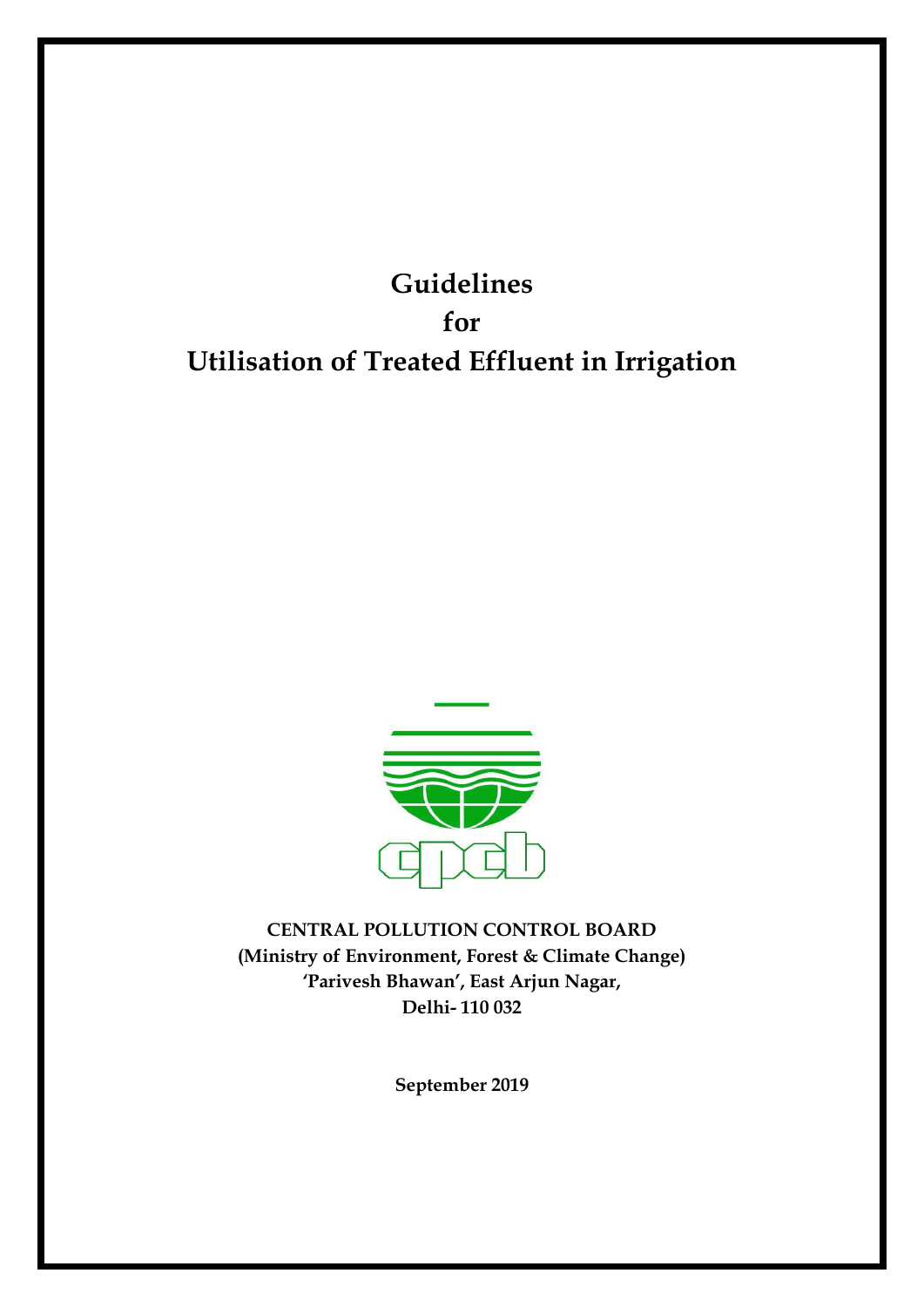**Guidelines for Utilisation of Treated Effluent in Irrigation**



**CENTRAL POLLUTION CONTROL BOARD (Ministry of Environment, Forest & Climate Change) 'Parivesh Bhawan', East Arjun Nagar, Delhi- 110 032**

**September 2019**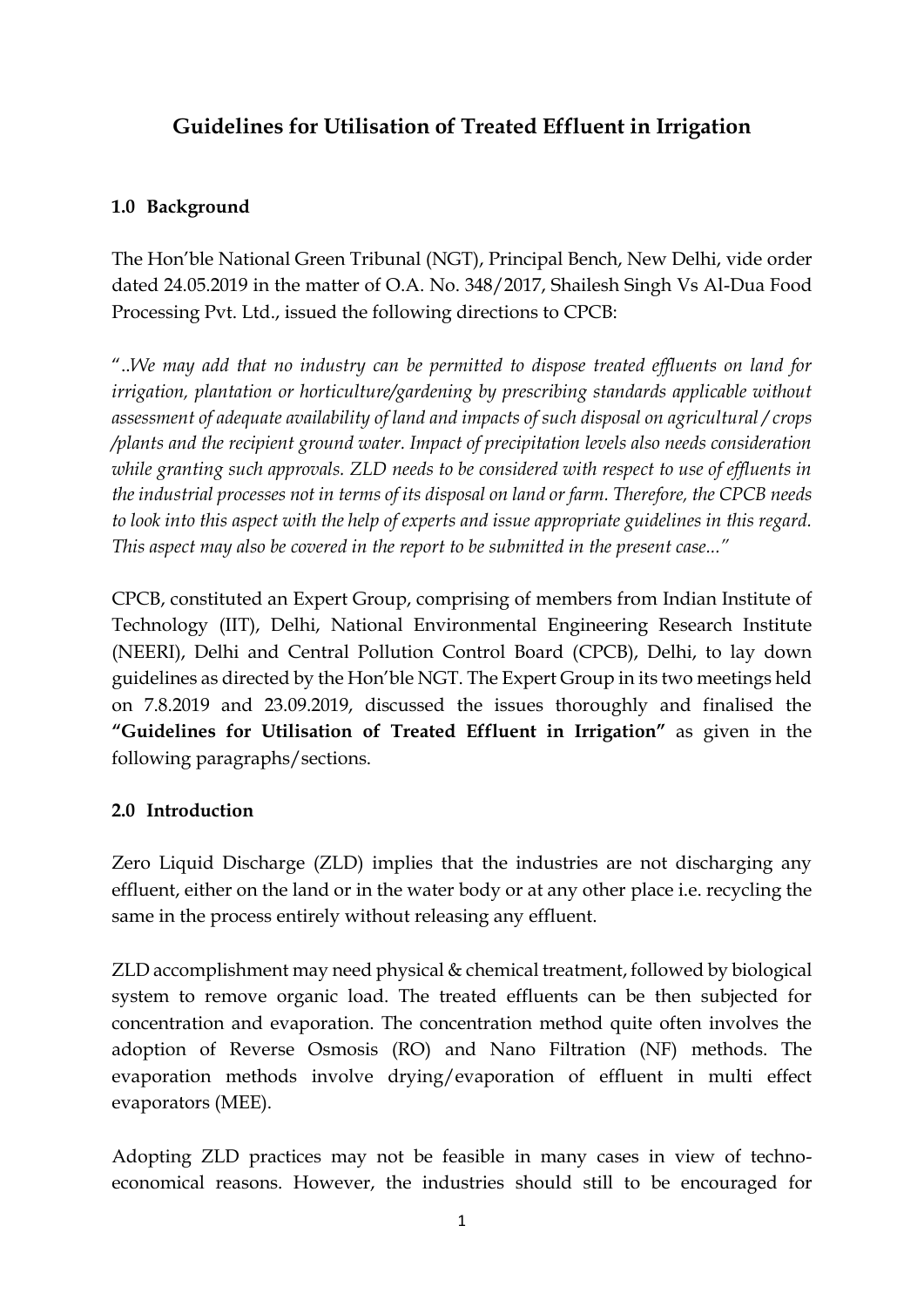## **Guidelines for Utilisation of Treated Effluent in Irrigation**

## **1.0 Background**

The Hon'ble National Green Tribunal (NGT), Principal Bench, New Delhi, vide order dated 24.05.2019 in the matter of O.A. No. 348/2017, Shailesh Singh Vs Al-Dua Food Processing Pvt. Ltd., issued the following directions to CPCB:

"..*We may add that no industry can be permitted to dispose treated effluents on land for irrigation, plantation or horticulture/gardening by prescribing standards applicable without assessment of adequate availability of land and impacts of such disposal on agricultural / crops /plants and the recipient ground water. Impact of precipitation levels also needs consideration while granting such approvals. ZLD needs to be considered with respect to use of effluents in the industrial processes not in terms of its disposal on land or farm. Therefore, the CPCB needs to look into this aspect with the help of experts and issue appropriate guidelines in this regard. This aspect may also be covered in the report to be submitted in the present case..."*

CPCB, constituted an Expert Group, comprising of members from Indian Institute of Technology (IIT), Delhi, National Environmental Engineering Research Institute (NEERI), Delhi and Central Pollution Control Board (CPCB), Delhi, to lay down guidelines as directed by the Hon'ble NGT. The Expert Group in its two meetings held on 7.8.2019 and 23.09.2019, discussed the issues thoroughly and finalised the **"Guidelines for Utilisation of Treated Effluent in Irrigation"** as given in the following paragraphs/sections.

## **2.0 Introduction**

Zero Liquid Discharge (ZLD) implies that the industries are not discharging any effluent, either on the land or in the water body or at any other place i.e. recycling the same in the process entirely without releasing any effluent.

ZLD accomplishment may need physical & chemical treatment, followed by biological system to remove organic load. The treated effluents can be then subjected for concentration and evaporation. The concentration method quite often involves the adoption of Reverse Osmosis (RO) and Nano Filtration (NF) methods. The evaporation methods involve drying/evaporation of effluent in multi effect evaporators (MEE).

Adopting ZLD practices may not be feasible in many cases in view of technoeconomical reasons. However, the industries should still to be encouraged for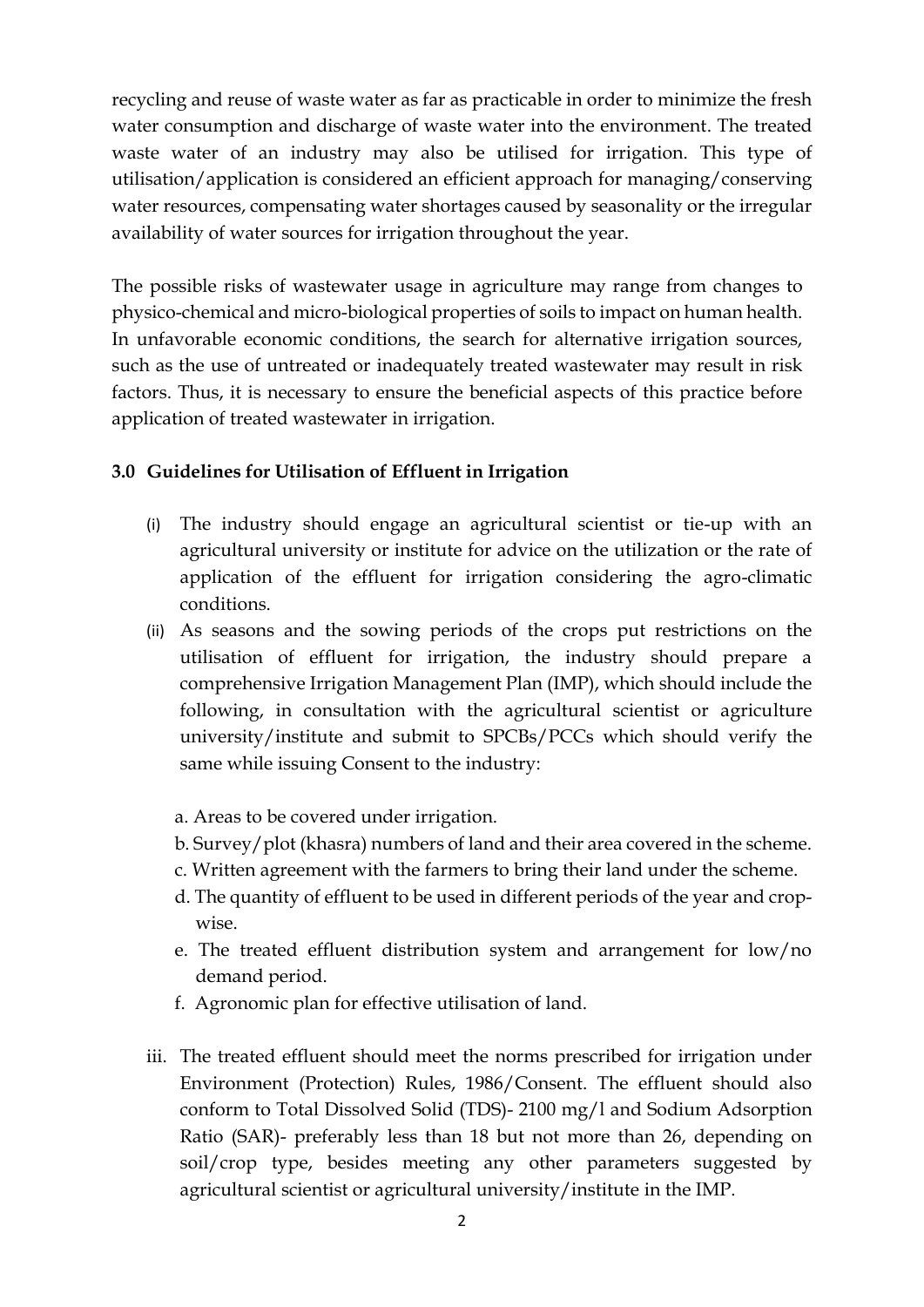recycling and reuse of waste water as far as practicable in order to minimize the fresh water consumption and discharge of waste water into the environment. The treated waste water of an industry may also be utilised for irrigation. This type of utilisation/application is considered an efficient approach for managing/conserving water resources, compensating water shortages caused by seasonality or the irregular availability of water sources for irrigation throughout the year.

The possible risks of wastewater usage in agriculture may range from changes to physico-chemical and micro-biological properties of soils to impact on human health. In unfavorable economic conditions, the search for alternative irrigation sources, such as the use of untreated or inadequately treated wastewater may result in risk factors. Thus, it is necessary to ensure the beneficial aspects of this practice before application of treated wastewater in irrigation.

## **3.0 Guidelines for Utilisation of Effluent in Irrigation**

- (i) The industry should engage an agricultural scientist or tie-up with an agricultural university or institute for advice on the utilization or the rate of application of the effluent for irrigation considering the agro-climatic conditions.
- (ii) As seasons and the sowing periods of the crops put restrictions on the utilisation of effluent for irrigation, the industry should prepare a comprehensive Irrigation Management Plan (IMP), which should include the following, in consultation with the agricultural scientist or agriculture university/institute and submit to SPCBs/PCCs which should verify the same while issuing Consent to the industry:
	- a. Areas to be covered under irrigation.
	- b. Survey/plot (khasra) numbers of land and their area covered in the scheme.
	- c. Written agreement with the farmers to bring their land under the scheme.
	- d. The quantity of effluent to be used in different periods of the year and cropwise.
	- e. The treated effluent distribution system and arrangement for low/no demand period.
	- f. Agronomic plan for effective utilisation of land.
- iii. The treated effluent should meet the norms prescribed for irrigation under Environment (Protection) Rules, 1986/Consent. The effluent should also conform to Total Dissolved Solid (TDS)- 2100 mg/l and Sodium Adsorption Ratio (SAR)- preferably less than 18 but not more than 26, depending on soil/crop type, besides meeting any other parameters suggested by agricultural scientist or agricultural university/institute in the IMP.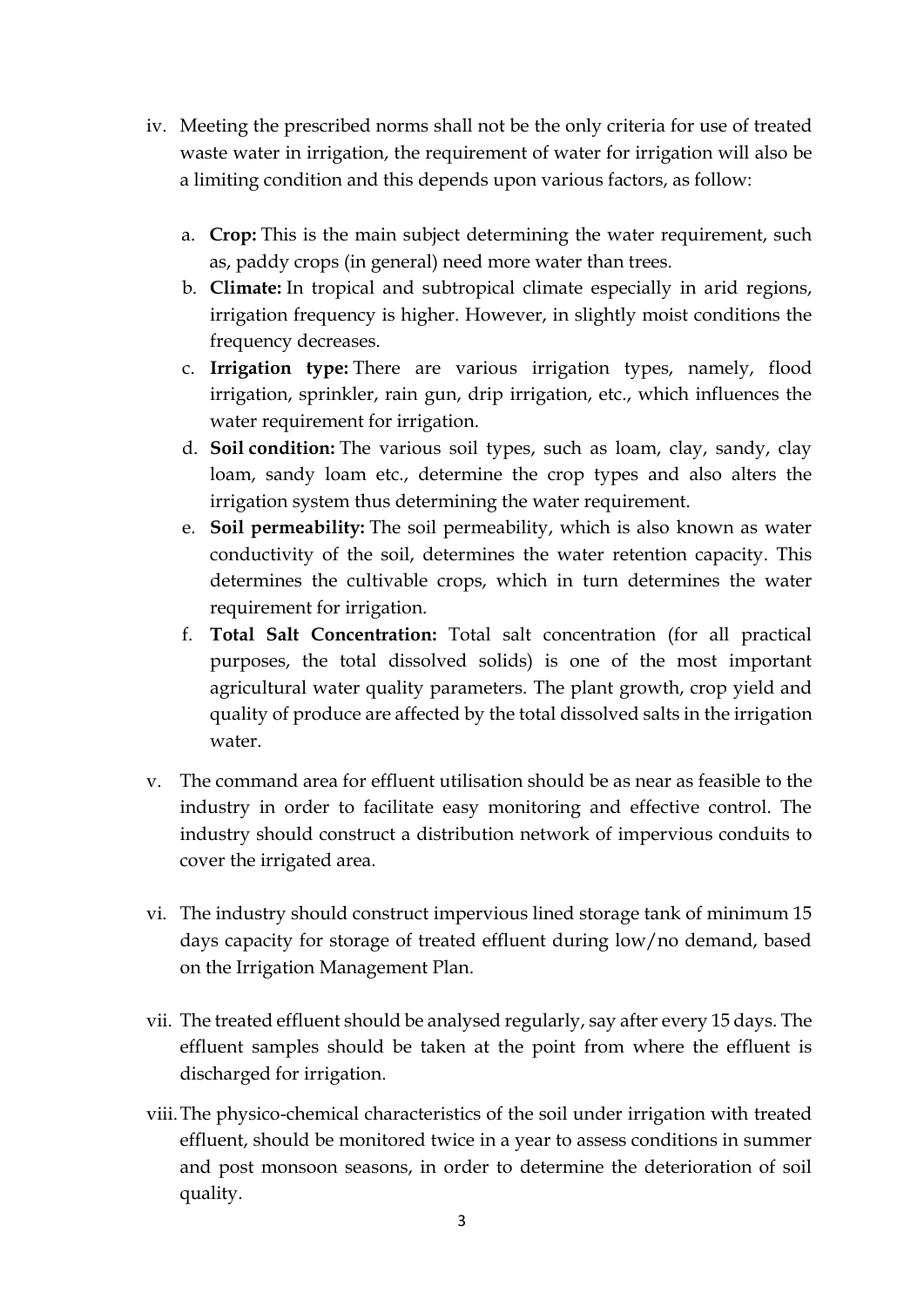- iv. Meeting the prescribed norms shall not be the only criteria for use of treated waste water in irrigation, the requirement of water for irrigation will also be a limiting condition and this depends upon various factors, as follow:
	- a. **Crop:** This is the main subject determining the water requirement, such as, paddy crops (in general) need more water than trees.
	- b. **Climate:** In tropical and subtropical climate especially in arid regions, irrigation frequency is higher. However, in slightly moist conditions the frequency decreases.
	- c. **Irrigation type:** There are various irrigation types, namely, flood irrigation, sprinkler, rain gun, drip irrigation, etc., which influences the water requirement for irrigation.
	- d. **Soil condition:** The various soil types, such as loam, clay, sandy, clay loam, sandy loam etc., determine the crop types and also alters the irrigation system thus determining the water requirement.
	- e. **Soil permeability:** The soil permeability, which is also known as water conductivity of the soil, determines the water retention capacity. This determines the cultivable crops, which in turn determines the water requirement for irrigation.
	- f. **Total Salt Concentration:** Total salt concentration (for all practical purposes, the total dissolved solids) is one of the most important agricultural water quality parameters. The plant growth, crop yield and quality of produce are affected by the total dissolved salts in the irrigation water.
- v. The command area for effluent utilisation should be as near as feasible to the industry in order to facilitate easy monitoring and effective control. The industry should construct a distribution network of impervious conduits to cover the irrigated area.
- vi. The industry should construct impervious lined storage tank of minimum 15 days capacity for storage of treated effluent during low/no demand, based on the Irrigation Management Plan.
- vii. The treated effluent should be analysed regularly, say after every 15 days. The effluent samples should be taken at the point from where the effluent is discharged for irrigation.
- viii.The physico-chemical characteristics of the soil under irrigation with treated effluent, should be monitored twice in a year to assess conditions in summer and post monsoon seasons, in order to determine the deterioration of soil quality.